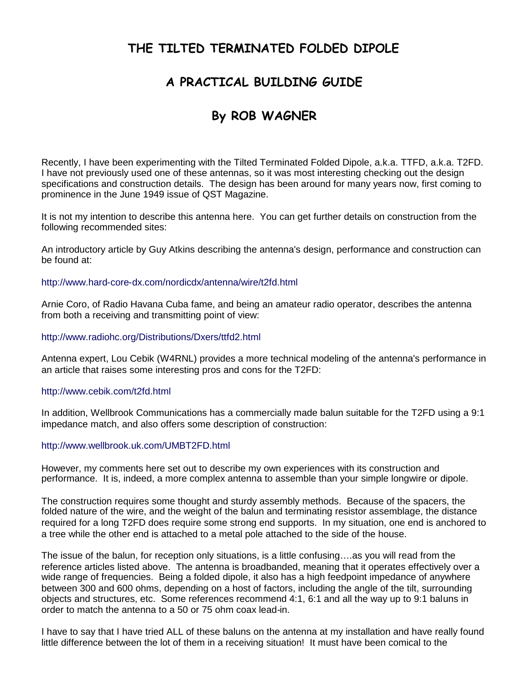## **THE TILTED TERMINATED FOLDED DIPOLE**

### **A PRACTICAL BUILDING GUIDE**

# **By ROB WAGNER**

Recently, I have been experimenting with the Tilted Terminated Folded Dipole, a.k.a. TTFD, a.k.a. T2FD. I have not previously used one of these antennas, so it was most interesting checking out the design specifications and construction details. The design has been around for many years now, first coming to prominence in the June 1949 issue of QST Magazine.

It is not my intention to describe this antenna here. You can get further details on construction from the following recommended sites:

An introductory article by Guy Atkins describing the antenna's design, performance and construction can be found at:

### http://www.hard-core-dx.com/nordicdx/antenna/wire/t2fd.html

Arnie Coro, of Radio Havana Cuba fame, and being an amateur radio operator, describes the antenna from both a receiving and transmitting point of view:

### http://www.radiohc.org/Distributions/Dxers/ttfd2.html

Antenna expert, Lou Cebik (W4RNL) provides a more technical modeling of the antenna's performance in an article that raises some interesting pros and cons for the T2FD:

### http://www.cebik.com/t2fd.html

In addition, Wellbrook Communications has a commercially made balun suitable for the T2FD using a 9:1 impedance match, and also offers some description of construction:

#### http://www.wellbrook.uk.com/UMBT2FD.html

However, my comments here set out to describe my own experiences with its construction and performance. It is, indeed, a more complex antenna to assemble than your simple longwire or dipole.

The construction requires some thought and sturdy assembly methods. Because of the spacers, the folded nature of the wire, and the weight of the balun and terminating resistor assemblage, the distance required for a long T2FD does require some strong end supports. In my situation, one end is anchored to a tree while the other end is attached to a metal pole attached to the side of the house.

The issue of the balun, for reception only situations, is a little confusing….as you will read from the reference articles listed above. The antenna is broadbanded, meaning that it operates effectively over a wide range of frequencies. Being a folded dipole, it also has a high feedpoint impedance of anywhere between 300 and 600 ohms, depending on a host of factors, including the angle of the tilt, surrounding objects and structures, etc. Some references recommend 4:1, 6:1 and all the way up to 9:1 baluns in order to match the antenna to a 50 or 75 ohm coax lead-in.

I have to say that I have tried ALL of these baluns on the antenna at my installation and have really found little difference between the lot of them in a receiving situation! It must have been comical to the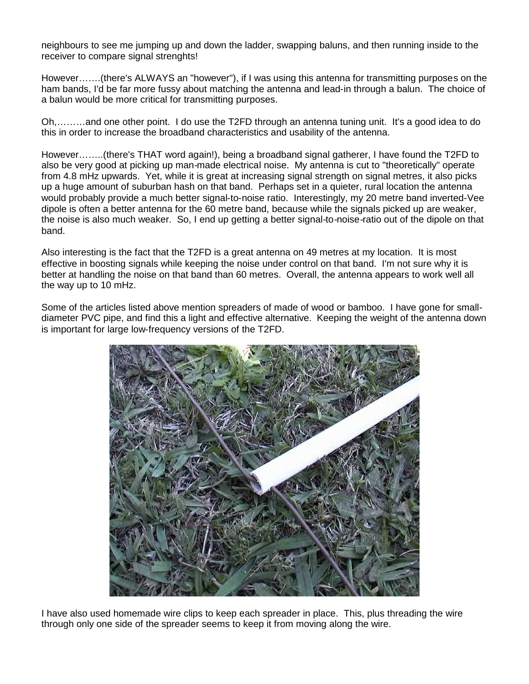neighbours to see me jumping up and down the ladder, swapping baluns, and then running inside to the receiver to compare signal strenghts!

However…….(there's ALWAYS an "however"), if I was using this antenna for transmitting purposes on the ham bands, I'd be far more fussy about matching the antenna and lead-in through a balun. The choice of a balun would be more critical for transmitting purposes.

Oh,………and one other point. I do use the T2FD through an antenna tuning unit. It's a good idea to do this in order to increase the broadband characteristics and usability of the antenna.

However……..(there's THAT word again!), being a broadband signal gatherer, I have found the T2FD to also be very good at picking up man-made electrical noise. My antenna is cut to "theoretically" operate from 4.8 mHz upwards. Yet, while it is great at increasing signal strength on signal metres, it also picks up a huge amount of suburban hash on that band. Perhaps set in a quieter, rural location the antenna would probably provide a much better signal-to-noise ratio. Interestingly, my 20 metre band inverted-Vee dipole is often a better antenna for the 60 metre band, because while the signals picked up are weaker, the noise is also much weaker. So, I end up getting a better signal-to-noise-ratio out of the dipole on that band.

Also interesting is the fact that the T2FD is a great antenna on 49 metres at my location. It is most effective in boosting signals while keeping the noise under control on that band. I'm not sure why it is better at handling the noise on that band than 60 metres. Overall, the antenna appears to work well all the way up to 10 mHz.

Some of the articles listed above mention spreaders of made of wood or bamboo. I have gone for smalldiameter PVC pipe, and find this a light and effective alternative. Keeping the weight of the antenna down is important for large low-frequency versions of the T2FD.



I have also used homemade wire clips to keep each spreader in place. This, plus threading the wire through only one side of the spreader seems to keep it from moving along the wire.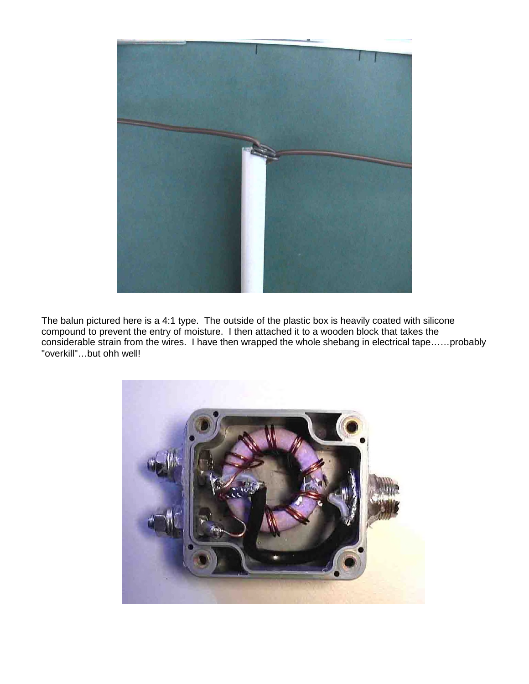

The balun pictured here is a 4:1 type. The outside of the plastic box is heavily coated with silicone compound to prevent the entry of moisture. I then attached it to a wooden block that takes the considerable strain from the wires. I have then wrapped the whole shebang in electrical tape……probably "overkill"…but ohh well!

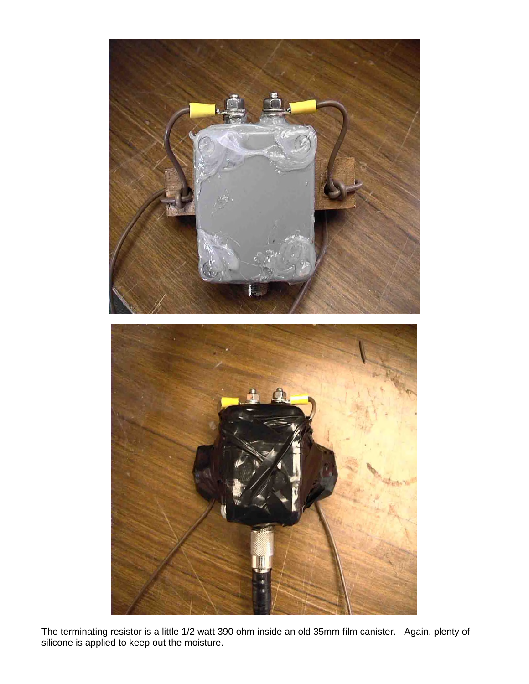

The terminating resistor is a little 1/2 watt 390 ohm inside an old 35mm film canister. Again, plenty of silicone is applied to keep out the moisture.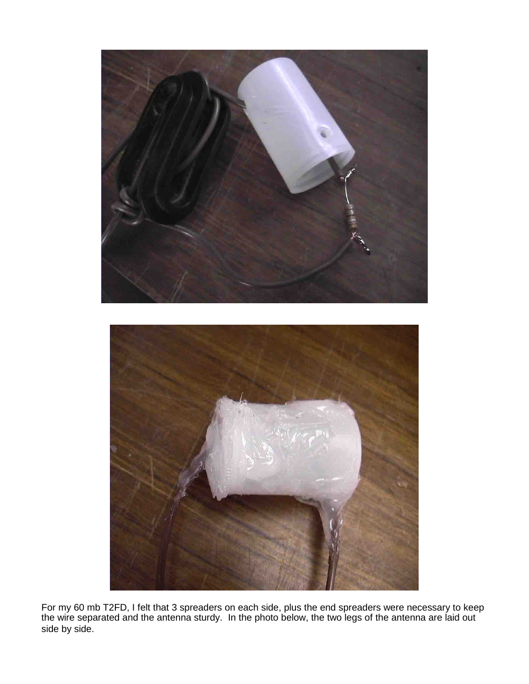

For my 60 mb T2FD, I felt that 3 spreaders on each side, plus the end spreaders were necessary to keep the wire separated and the antenna sturdy. In the photo below, the two legs of the antenna are laid out side by side.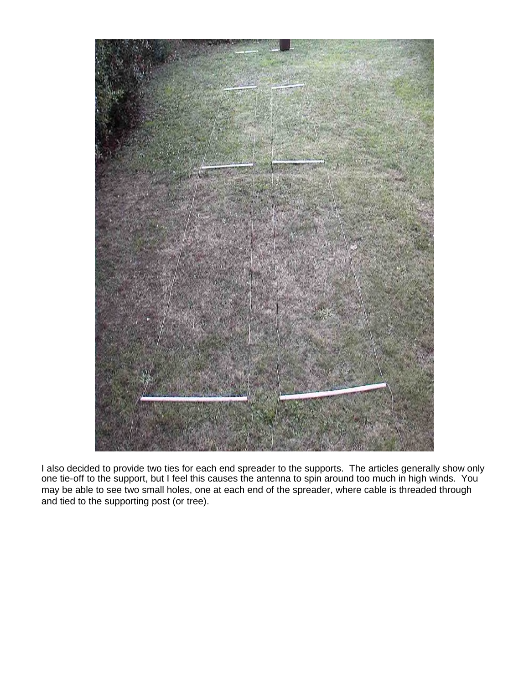

I also decided to provide two ties for each end spreader to the supports. The articles generally show only one tie-off to the support, but I feel this causes the antenna to spin around too much in high winds. You may be able to see two small holes, one at each end of the spreader, where cable is threaded through and tied to the supporting post (or tree).